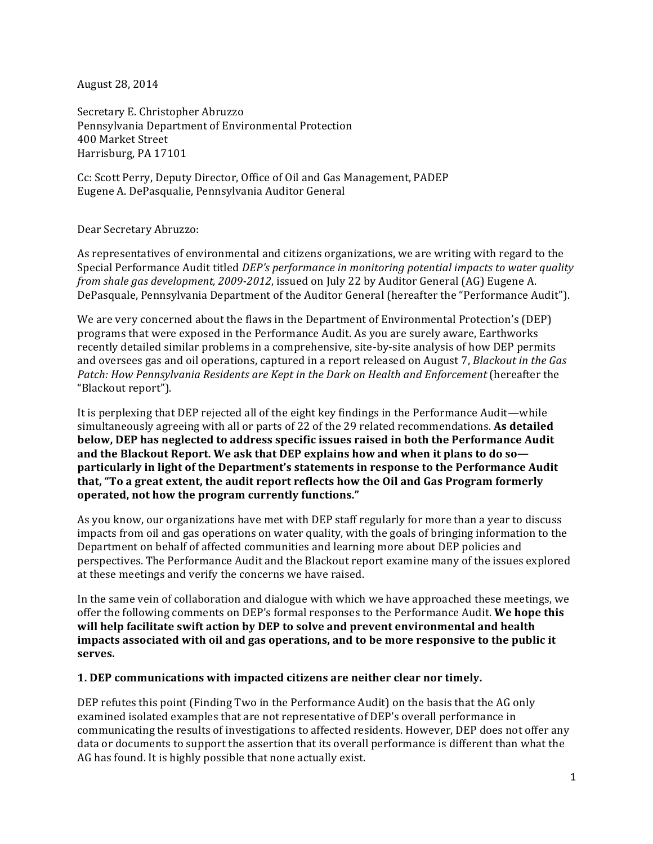August 28, 2014

Secretary E. Christopher Abruzzo Pennsylvania Department of Environmental Protection 400 Market Street Harrisburg, PA 17101

Cc: Scott Perry, Deputy Director, Office of Oil and Gas Management, PADEP Eugene A. DePasqualie, Pennsylvania Auditor General

### Dear Secretary Abruzzo:

As representatives of environmental and citizens organizations, we are writing with regard to the Special Performance Audit titled *DEP's performance in monitoring potential impacts to water quality from shale gas development, 2009-2012, issued on July 22 by Auditor General (AG) Eugene A.* DePasquale, Pennsylvania Department of the Auditor General (hereafter the "Performance Audit").

We are very concerned about the flaws in the Department of Environmental Protection's (DEP) programs that were exposed in the Performance Audit. As you are surely aware, Earthworks recently detailed similar problems in a comprehensive, site-by-site analysis of how DEP permits and oversees gas and oil operations, captured in a report released on August 7, *Blackout in the Gas* Patch: How Pennsylvania Residents are Kept in the Dark on Health and Enforcement (hereafter the "Blackout report").

It is perplexing that DEP rejected all of the eight key findings in the Performance Audit—while simultaneously agreeing with all or parts of 22 of the 29 related recommendations. As detailed below, DEP has neglected to address specific issues raised in both the Performance Audit and the Blackout Report. We ask that DEP explains how and when it plans to do so**particularly in light of the Department's statements in response to the Performance Audit that, "To a great extent, the audit report reflects how the Oil and Gas Program formerly** operated, not how the program currently functions."

As you know, our organizations have met with DEP staff regularly for more than a year to discuss impacts from oil and gas operations on water quality, with the goals of bringing information to the Department on behalf of affected communities and learning more about DEP policies and perspectives. The Performance Audit and the Blackout report examine many of the issues explored at these meetings and verify the concerns we have raised.

In the same vein of collaboration and dialogue with which we have approached these meetings, we offer the following comments on DEP's formal responses to the Performance Audit. We hope this **will help facilitate swift action by DEP** to solve and prevent environmental and health impacts associated with oil and gas operations, and to be more responsive to the public it **serves.** 

### **1.** DEP communications with impacted citizens are neither clear nor timely.

DEP refutes this point (Finding Two in the Performance Audit) on the basis that the AG only examined isolated examples that are not representative of DEP's overall performance in communicating the results of investigations to affected residents. However, DEP does not offer any data or documents to support the assertion that its overall performance is different than what the AG has found. It is highly possible that none actually exist.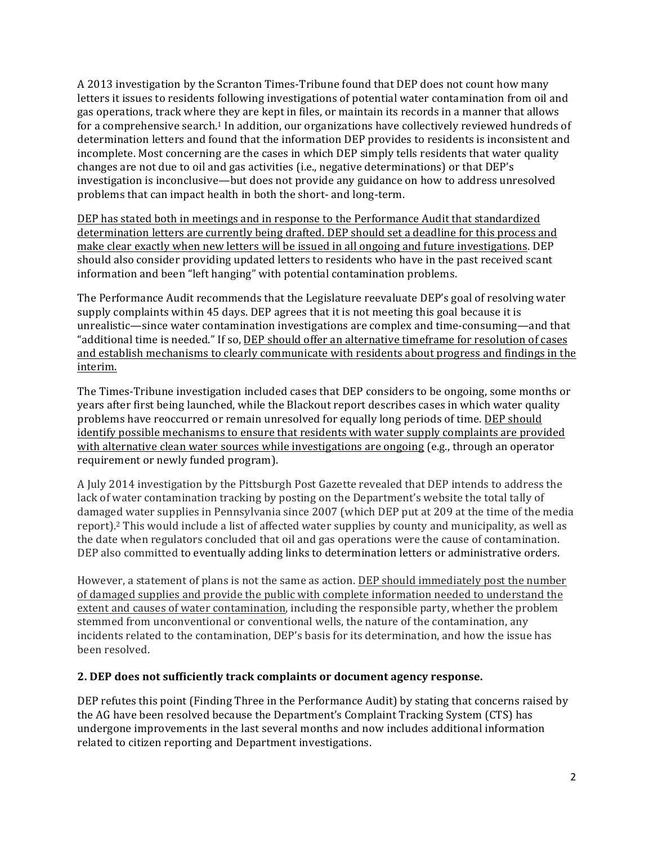A 2013 investigation by the Scranton Times-Tribune found that DEP does not count how many letters it issues to residents following investigations of potential water contamination from oil and gas operations, track where they are kept in files, or maintain its records in a manner that allows for a comprehensive search.<sup>1</sup> In addition, our organizations have collectively reviewed hundreds of determination letters and found that the information DEP provides to residents is inconsistent and incomplete. Most concerning are the cases in which DEP simply tells residents that water quality changes are not due to oil and gas activities (i.e., negative determinations) or that DEP's investigation is inconclusive—but does not provide any guidance on how to address unresolved problems that can impact health in both the short- and long-term.

DEP has stated both in meetings and in response to the Performance Audit that standardized determination letters are currently being drafted. DEP should set a deadline for this process and make clear exactly when new letters will be issued in all ongoing and future investigations. DEP should also consider providing updated letters to residents who have in the past received scant information and been "left hanging" with potential contamination problems.

The Performance Audit recommends that the Legislature reevaluate DEP's goal of resolving water supply complaints within 45 days. DEP agrees that it is not meeting this goal because it is unrealistic—since water contamination investigations are complex and time-consuming—and that "additional time is needed." If so, DEP should offer an alternative timeframe for resolution of cases and establish mechanisms to clearly communicate with residents about progress and findings in the interim.

The Times-Tribune investigation included cases that DEP considers to be ongoing, some months or years after first being launched, while the Blackout report describes cases in which water quality problems have reoccurred or remain unresolved for equally long periods of time. DEP should identify possible mechanisms to ensure that residents with water supply complaints are provided with alternative clean water sources while investigations are ongoing (e.g., through an operator requirement or newly funded program).

A July 2014 investigation by the Pittsburgh Post Gazette revealed that DEP intends to address the lack of water contamination tracking by posting on the Department's website the total tally of damaged water supplies in Pennsylvania since 2007 (which DEP put at 209 at the time of the media report).<sup>2</sup> This would include a list of affected water supplies by county and municipality, as well as the date when regulators concluded that oil and gas operations were the cause of contamination. DEP also committed to eventually adding links to determination letters or administrative orders.

However, a statement of plans is not the same as action. DEP should immediately post the number of damaged supplies and provide the public with complete information needed to understand the extent and causes of water contamination, including the responsible party, whether the problem stemmed from unconventional or conventional wells, the nature of the contamination, any incidents related to the contamination, DEP's basis for its determination, and how the issue has been resolved.

## **2. DEP does not sufficiently track complaints or document agency response.**

DEP refutes this point (Finding Three in the Performance Audit) by stating that concerns raised by the AG have been resolved because the Department's Complaint Tracking System (CTS) has undergone improvements in the last several months and now includes additional information related to citizen reporting and Department investigations.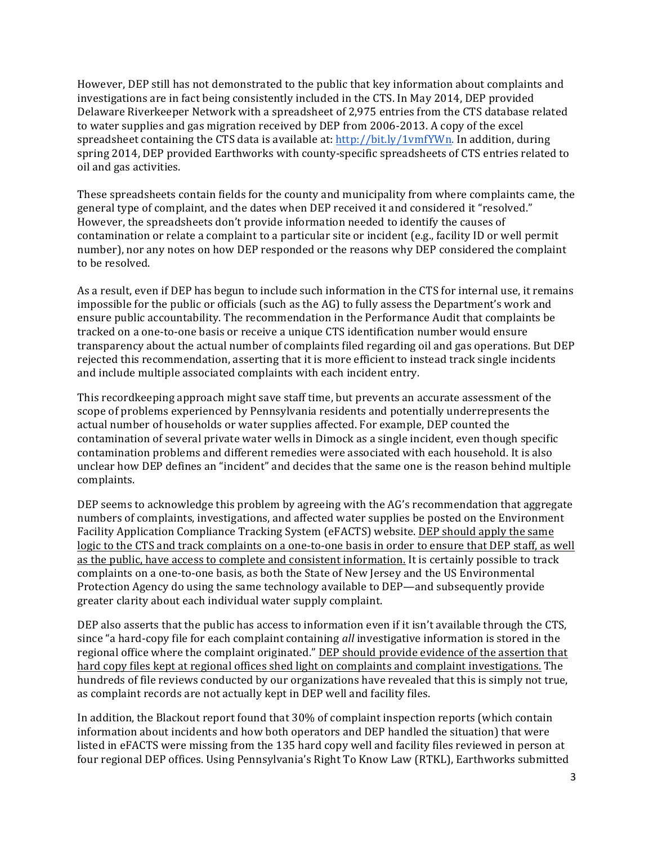However, DEP still has not demonstrated to the public that key information about complaints and investigations are in fact being consistently included in the CTS. In May 2014, DEP provided Delaware Riverkeeper Network with a spreadsheet of 2,975 entries from the CTS database related to water supplies and gas migration received by DEP from 2006-2013. A copy of the excel spreadsheet containing the CTS data is available at: http://bit.ly/1vmfYWn. In addition, during spring 2014, DEP provided Earthworks with county-specific spreadsheets of CTS entries related to oil and gas activities.

These spreadsheets contain fields for the county and municipality from where complaints came, the general type of complaint, and the dates when DEP received it and considered it "resolved." However, the spreadsheets don't provide information needed to identify the causes of contamination or relate a complaint to a particular site or incident (e.g., facility ID or well permit number), nor any notes on how DEP responded or the reasons why DEP considered the complaint to be resolved.

As a result, even if DEP has begun to include such information in the CTS for internal use, it remains impossible for the public or officials (such as the AG) to fully assess the Department's work and ensure public accountability. The recommendation in the Performance Audit that complaints be tracked on a one-to-one basis or receive a unique CTS identification number would ensure transparency about the actual number of complaints filed regarding oil and gas operations. But DEP rejected this recommendation, asserting that it is more efficient to instead track single incidents and include multiple associated complaints with each incident entry.

This recordkeeping approach might save staff time, but prevents an accurate assessment of the scope of problems experienced by Pennsylvania residents and potentially underrepresents the actual number of households or water supplies affected. For example, DEP counted the contamination of several private water wells in Dimock as a single incident, even though specific contamination problems and different remedies were associated with each household. It is also unclear how DEP defines an "incident" and decides that the same one is the reason behind multiple complaints.

DEP seems to acknowledge this problem by agreeing with the AG's recommendation that aggregate numbers of complaints, investigations, and affected water supplies be posted on the Environment Facility Application Compliance Tracking System (eFACTS) website. DEP should apply the same logic to the CTS and track complaints on a one-to-one basis in order to ensure that DEP staff, as well as the public, have access to complete and consistent information. It is certainly possible to track complaints on a one-to-one basis, as both the State of New Jersey and the US Environmental Protection Agency do using the same technology available to DEP—and subsequently provide greater clarity about each individual water supply complaint.

DEP also asserts that the public has access to information even if it isn't available through the CTS, since "a hard-copy file for each complaint containing *all* investigative information is stored in the regional office where the complaint originated." DEP should provide evidence of the assertion that hard copy files kept at regional offices shed light on complaints and complaint investigations. The hundreds of file reviews conducted by our organizations have revealed that this is simply not true, as complaint records are not actually kept in DEP well and facility files.

In addition, the Blackout report found that 30% of complaint inspection reports (which contain information about incidents and how both operators and DEP handled the situation) that were listed in eFACTS were missing from the 135 hard copy well and facility files reviewed in person at four regional DEP offices. Using Pennsylvania's Right To Know Law (RTKL), Earthworks submitted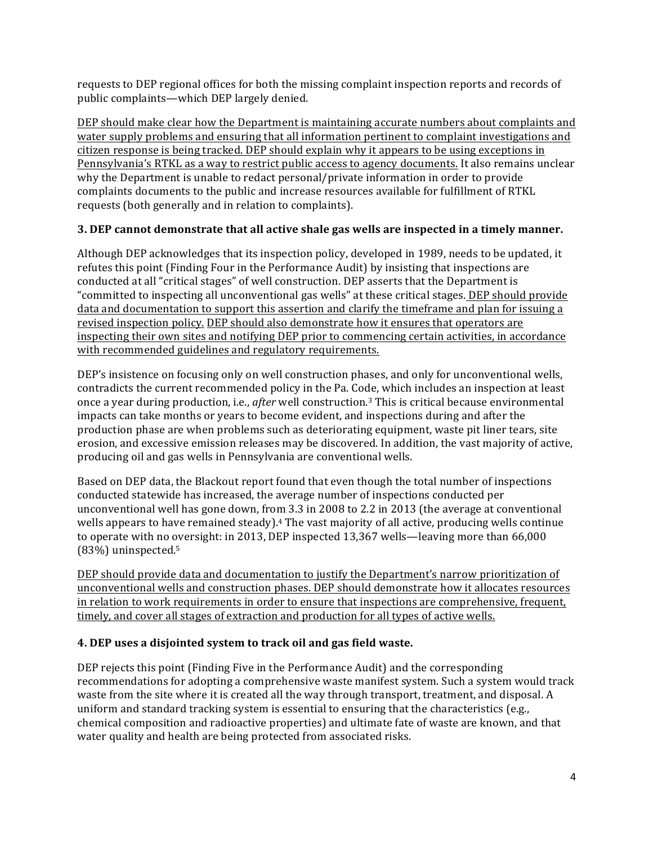requests to DEP regional offices for both the missing complaint inspection reports and records of public complaints—which DEP largely denied.

DEP should make clear how the Department is maintaining accurate numbers about complaints and water supply problems and ensuring that all information pertinent to complaint investigations and citizen response is being tracked. DEP should explain why it appears to be using exceptions in Pennsylvania's RTKL as a way to restrict public access to agency documents. It also remains unclear why the Department is unable to redact personal/private information in order to provide complaints documents to the public and increase resources available for fulfillment of RTKL requests (both generally and in relation to complaints).

# **3.** DEP cannot demonstrate that all active shale gas wells are inspected in a timely manner.

Although DEP acknowledges that its inspection policy, developed in 1989, needs to be updated, it refutes this point (Finding Four in the Performance Audit) by insisting that inspections are conducted at all "critical stages" of well construction. DEP asserts that the Department is "committed to inspecting all unconventional gas wells" at these critical stages. DEP should provide data and documentation to support this assertion and clarify the timeframe and plan for issuing a revised inspection policy. DEP should also demonstrate how it ensures that operators are inspecting their own sites and notifying DEP prior to commencing certain activities, in accordance with recommended guidelines and regulatory requirements.

DEP's insistence on focusing only on well construction phases, and only for unconventional wells, contradicts the current recommended policy in the Pa. Code, which includes an inspection at least once a year during production, i.e., *after* well construction.<sup>3</sup> This is critical because environmental impacts can take months or years to become evident, and inspections during and after the production phase are when problems such as deteriorating equipment, waste pit liner tears, site erosion, and excessive emission releases may be discovered. In addition, the vast majority of active, producing oil and gas wells in Pennsylvania are conventional wells.

Based on DEP data, the Blackout report found that even though the total number of inspections conducted statewide has increased, the average number of inspections conducted per unconventional well has gone down, from  $3.3$  in  $2008$  to  $2.2$  in  $2013$  (the average at conventional wells appears to have remained steady).<sup>4</sup> The vast majority of all active, producing wells continue to operate with no oversight: in 2013, DEP inspected  $13,367$  wells—leaving more than 66,000  $(83%)$  uninspected.<sup>5</sup>

DEP should provide data and documentation to justify the Department's narrow prioritization of unconventional wells and construction phases. DEP should demonstrate how it allocates resources in relation to work requirements in order to ensure that inspections are comprehensive, frequent, timely, and cover all stages of extraction and production for all types of active wells.

# **4.** DEP uses a disjointed system to track oil and gas field waste.

DEP rejects this point (Finding Five in the Performance Audit) and the corresponding recommendations for adopting a comprehensive waste manifest system. Such a system would track waste from the site where it is created all the way through transport, treatment, and disposal. A uniform and standard tracking system is essential to ensuring that the characteristics (e.g., chemical composition and radioactive properties) and ultimate fate of waste are known, and that water quality and health are being protected from associated risks.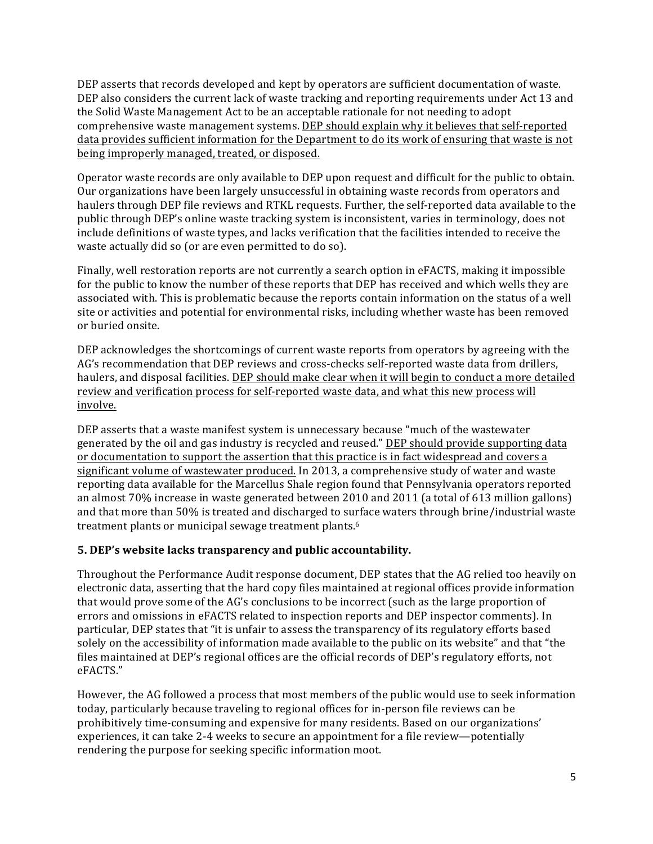DEP asserts that records developed and kept by operators are sufficient documentation of waste. DEP also considers the current lack of waste tracking and reporting requirements under Act 13 and the Solid Waste Management Act to be an acceptable rationale for not needing to adopt comprehensive waste management systems. DEP should explain why it believes that self-reported data provides sufficient information for the Department to do its work of ensuring that waste is not being improperly managed, treated, or disposed.

Operator waste records are only available to DEP upon request and difficult for the public to obtain. Our organizations have been largely unsuccessful in obtaining waste records from operators and haulers through DEP file reviews and RTKL requests. Further, the self-reported data available to the public through DEP's online waste tracking system is inconsistent, varies in terminology, does not include definitions of waste types, and lacks verification that the facilities intended to receive the waste actually did so (or are even permitted to do so).

Finally, well restoration reports are not currently a search option in eFACTS, making it impossible for the public to know the number of these reports that DEP has received and which wells they are associated with. This is problematic because the reports contain information on the status of a well site or activities and potential for environmental risks, including whether waste has been removed or buried onsite.

DEP acknowledges the shortcomings of current waste reports from operators by agreeing with the AG's recommendation that DEP reviews and cross-checks self-reported waste data from drillers, haulers, and disposal facilities. DEP should make clear when it will begin to conduct a more detailed review and verification process for self-reported waste data, and what this new process will involve. 

DEP asserts that a waste manifest system is unnecessary because "much of the wastewater generated by the oil and gas industry is recycled and reused." DEP should provide supporting data or documentation to support the assertion that this practice is in fact widespread and covers a significant volume of wastewater produced. In 2013, a comprehensive study of water and waste reporting data available for the Marcellus Shale region found that Pennsylvania operators reported an almost 70% increase in waste generated between 2010 and 2011 (a total of 613 million gallons) and that more than 50% is treated and discharged to surface waters through brine/industrial waste treatment plants or municipal sewage treatment plants.<sup>6</sup>

## **5. DEP's website lacks transparency and public accountability.**

Throughout the Performance Audit response document, DEP states that the AG relied too heavily on electronic data, asserting that the hard copy files maintained at regional offices provide information that would prove some of the  $AG'$ s conclusions to be incorrect (such as the large proportion of errors and omissions in eFACTS related to inspection reports and DEP inspector comments). In particular, DEP states that "it is unfair to assess the transparency of its regulatory efforts based solely on the accessibility of information made available to the public on its website" and that "the files maintained at DEP's regional offices are the official records of DEP's regulatory efforts, not eFACTS."

However, the AG followed a process that most members of the public would use to seek information today, particularly because traveling to regional offices for in-person file reviews can be prohibitively time-consuming and expensive for many residents. Based on our organizations' experiences, it can take 2-4 weeks to secure an appointment for a file review—potentially rendering the purpose for seeking specific information moot.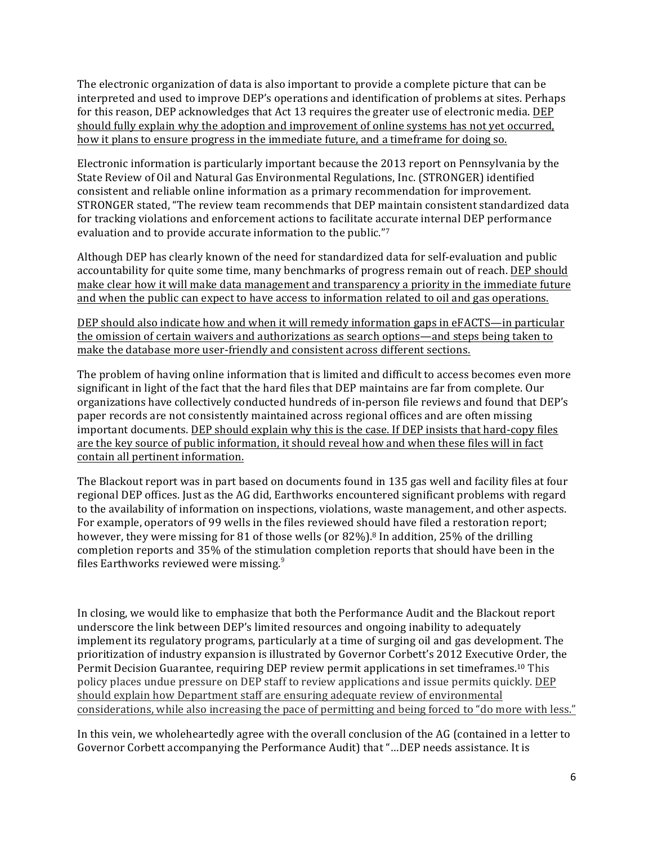The electronic organization of data is also important to provide a complete picture that can be interpreted and used to improve DEP's operations and identification of problems at sites. Perhaps for this reason, DEP acknowledges that Act 13 requires the greater use of electronic media. DEP should fully explain why the adoption and improvement of online systems has not yet occurred, how it plans to ensure progress in the immediate future, and a timeframe for doing so.

Electronic information is particularly important because the 2013 report on Pennsylvania by the State Review of Oil and Natural Gas Environmental Regulations, Inc. (STRONGER) identified consistent and reliable online information as a primary recommendation for improvement. STRONGER stated, "The review team recommends that DEP maintain consistent standardized data for tracking violations and enforcement actions to facilitate accurate internal DEP performance evaluation and to provide accurate information to the public."<sup>7</sup>

Although DEP has clearly known of the need for standardized data for self-evaluation and public accountability for quite some time, many benchmarks of progress remain out of reach. DEP should make clear how it will make data management and transparency a priority in the immediate future and when the public can expect to have access to information related to oil and gas operations.

DEP should also indicate how and when it will remedy information gaps in eFACTS—in particular the omission of certain waivers and authorizations as search options—and steps being taken to make the database more user-friendly and consistent across different sections.

The problem of having online information that is limited and difficult to access becomes even more significant in light of the fact that the hard files that DEP maintains are far from complete. Our organizations have collectively conducted hundreds of in-person file reviews and found that DEP's paper records are not consistently maintained across regional offices and are often missing important documents. DEP should explain why this is the case. If DEP insists that hard-copy files are the key source of public information, it should reveal how and when these files will in fact contain all pertinent information.

The Blackout report was in part based on documents found in 135 gas well and facility files at four regional DEP offices. Just as the AG did, Earthworks encountered significant problems with regard to the availability of information on inspections, violations, waste management, and other aspects. For example, operators of 99 wells in the files reviewed should have filed a restoration report; however, they were missing for 81 of those wells (or  $82\%$ ).<sup>8</sup> In addition, 25% of the drilling completion reports and 35% of the stimulation completion reports that should have been in the files Earthworks reviewed were missing. $9$ 

In closing, we would like to emphasize that both the Performance Audit and the Blackout report underscore the link between DEP's limited resources and ongoing inability to adequately implement its regulatory programs, particularly at a time of surging oil and gas development. The prioritization of industry expansion is illustrated by Governor Corbett's 2012 Executive Order, the Permit Decision Guarantee, requiring DEP review permit applications in set timeframes.<sup>10</sup> This policy places undue pressure on DEP staff to review applications and issue permits quickly. DEP should explain how Department staff are ensuring adequate review of environmental considerations, while also increasing the pace of permitting and being forced to "do more with less."

In this vein, we wholeheartedly agree with the overall conclusion of the AG (contained in a letter to Governor Corbett accompanying the Performance Audit) that "...DEP needs assistance. It is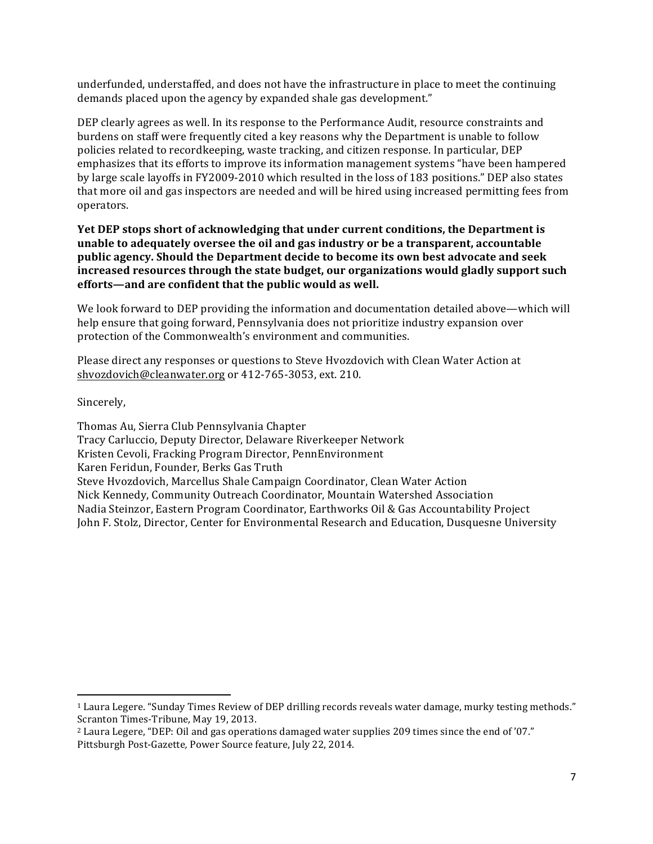underfunded, understaffed, and does not have the infrastructure in place to meet the continuing demands placed upon the agency by expanded shale gas development."

DEP clearly agrees as well. In its response to the Performance Audit, resource constraints and burdens on staff were frequently cited a key reasons why the Department is unable to follow policies related to recordkeeping, waste tracking, and citizen response. In particular, DEP emphasizes that its efforts to improve its information management systems "have been hampered by large scale layoffs in FY2009-2010 which resulted in the loss of 183 positions." DEP also states that more oil and gas inspectors are needed and will be hired using increased permitting fees from operators. 

**Yet DEP** stops short of acknowledging that under current conditions, the Department is **unable to adequately oversee the oil and gas industry or be a transparent, accountable** public agency. Should the Department decide to become its own best advocate and seek increased resources through the state budget, our organizations would gladly support such efforts—and are confident that the public would as well.

We look forward to DEP providing the information and documentation detailed above—which will help ensure that going forward, Pennsylvania does not prioritize industry expansion over protection of the Commonwealth's environment and communities.

Please direct any responses or questions to Steve Hyozdovich with Clean Water Action at shvozdovich@cleanwater.org or 412-765-3053, ext. 210.

Sincerely,

 

Thomas Au, Sierra Club Pennsylvania Chapter Tracy Carluccio, Deputy Director, Delaware Riverkeeper Network Kristen Cevoli, Fracking Program Director, PennEnvironment Karen Feridun, Founder, Berks Gas Truth Steve Hyozdovich, Marcellus Shale Campaign Coordinator, Clean Water Action Nick Kennedy, Community Outreach Coordinator, Mountain Watershed Association Nadia Steinzor, Eastern Program Coordinator, Earthworks Oil & Gas Accountability Project John F. Stolz, Director, Center for Environmental Research and Education, Dusquesne University

<sup>&</sup>lt;sup>1</sup> Laura Legere. "Sunday Times Review of DEP drilling records reveals water damage, murky testing methods." Scranton Times-Tribune, May 19, 2013.

<sup>&</sup>lt;sup>2</sup> Laura Legere, "DEP: Oil and gas operations damaged water supplies 209 times since the end of '07." Pittsburgh Post-Gazette, Power Source feature, July 22, 2014.